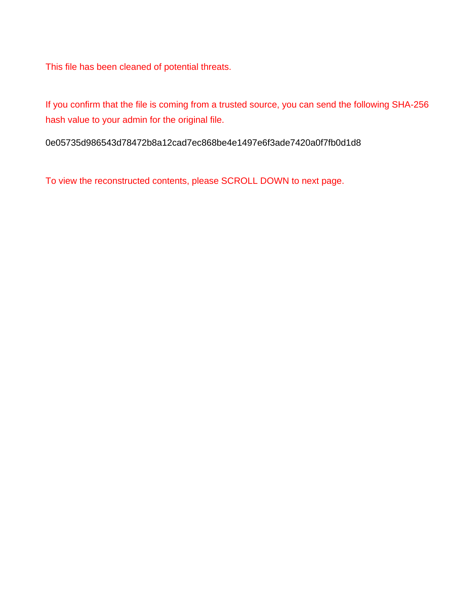This file has been cleaned of potential threats.

If you confirm that the file is coming from a trusted source, you can send the following SHA-256 hash value to your admin for the original file.

0e05735d986543d78472b8a12cad7ec868be4e1497e6f3ade7420a0f7fb0d1d8

To view the reconstructed contents, please SCROLL DOWN to next page.